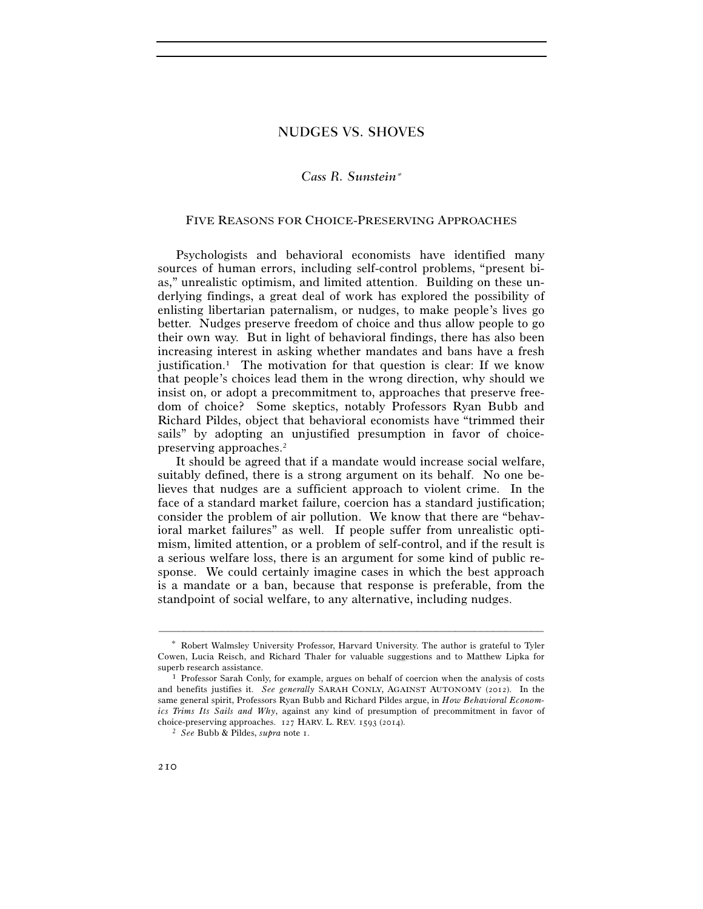## NUDGES VS. SHOVES

# *Cass R. Sunstein*<sup>∗</sup>

#### FIVE REASONS FOR CHOICE-PRESERVING APPROACHES

Psychologists and behavioral economists have identified many sources of human errors, including self-control problems, "present bias," unrealistic optimism, and limited attention. Building on these underlying findings, a great deal of work has explored the possibility of enlisting libertarian paternalism, or nudges, to make people's lives go better. Nudges preserve freedom of choice and thus allow people to go their own way. But in light of behavioral findings, there has also been increasing interest in asking whether mandates and bans have a fresh justification.<sup>1</sup> The motivation for that question is clear: If we know that people's choices lead them in the wrong direction, why should we insist on, or adopt a precommitment to, approaches that preserve freedom of choice? Some skeptics, notably Professors Ryan Bubb and Richard Pildes, object that behavioral economists have "trimmed their sails" by adopting an unjustified presumption in favor of choicepreserving approaches.2

It should be agreed that if a mandate would increase social welfare, suitably defined, there is a strong argument on its behalf. No one believes that nudges are a sufficient approach to violent crime. In the face of a standard market failure, coercion has a standard justification; consider the problem of air pollution. We know that there are "behavioral market failures" as well. If people suffer from unrealistic optimism, limited attention, or a problem of self-control, and if the result is a serious welfare loss, there is an argument for some kind of public response. We could certainly imagine cases in which the best approach is a mandate or a ban, because that response is preferable, from the standpoint of social welfare, to any alternative, including nudges.

<sup>∗</sup> Robert Walmsley University Professor, Harvard University. The author is grateful to Tyler Cowen, Lucia Reisch, and Richard Thaler for valuable suggestions and to Matthew Lipka for superb research assistance.<br><sup>1</sup> Professor Sarah Conly, for example, argues on behalf of coercion when the analysis of costs

and benefits justifies it. *See generally* SARAH CONLY, AGAINST AUTONOMY (2012). In the same general spirit, Professors Ryan Bubb and Richard Pildes argue, in *How Behavioral Economics Trims Its Sails and Why*, against any kind of presumption of precommitment in favor of choice-preserving approaches. 127 HARV. L. REV. 1593 (2014). 2 *See* Bubb & Pildes, *supra* note 1.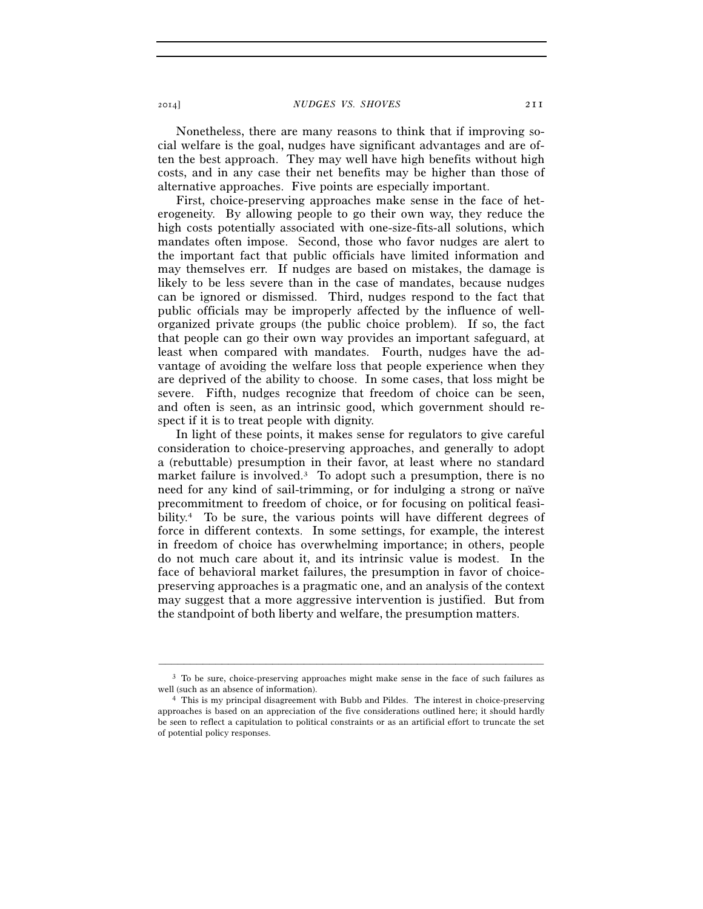2014] *NUDGES VS. SHOVES* 211

Nonetheless, there are many reasons to think that if improving social welfare is the goal, nudges have significant advantages and are often the best approach. They may well have high benefits without high costs, and in any case their net benefits may be higher than those of alternative approaches. Five points are especially important.

First, choice-preserving approaches make sense in the face of heterogeneity. By allowing people to go their own way, they reduce the high costs potentially associated with one-size-fits-all solutions, which mandates often impose. Second, those who favor nudges are alert to the important fact that public officials have limited information and may themselves err. If nudges are based on mistakes, the damage is likely to be less severe than in the case of mandates, because nudges can be ignored or dismissed. Third, nudges respond to the fact that public officials may be improperly affected by the influence of wellorganized private groups (the public choice problem). If so, the fact that people can go their own way provides an important safeguard, at least when compared with mandates. Fourth, nudges have the advantage of avoiding the welfare loss that people experience when they are deprived of the ability to choose. In some cases, that loss might be severe. Fifth, nudges recognize that freedom of choice can be seen, and often is seen, as an intrinsic good, which government should respect if it is to treat people with dignity.

In light of these points, it makes sense for regulators to give careful consideration to choice-preserving approaches, and generally to adopt a (rebuttable) presumption in their favor, at least where no standard market failure is involved.<sup>3</sup> To adopt such a presumption, there is no need for any kind of sail-trimming, or for indulging a strong or naïve precommitment to freedom of choice, or for focusing on political feasibility.<sup>4</sup> To be sure, the various points will have different degrees of force in different contexts. In some settings, for example, the interest in freedom of choice has overwhelming importance; in others, people do not much care about it, and its intrinsic value is modest. In the face of behavioral market failures, the presumption in favor of choicepreserving approaches is a pragmatic one, and an analysis of the context may suggest that a more aggressive intervention is justified. But from the standpoint of both liberty and welfare, the presumption matters.

<sup>–––––––––––––––––––––––––––––––––––––––––––––––––––––––––––––</sup> 3 To be sure, choice-preserving approaches might make sense in the face of such failures as well (such as an absence of information).<br><sup>4</sup> This is my principal disagreement with Bubb and Pildes. The interest in choice-preserving

approaches is based on an appreciation of the five considerations outlined here; it should hardly be seen to reflect a capitulation to political constraints or as an artificial effort to truncate the set of potential policy responses.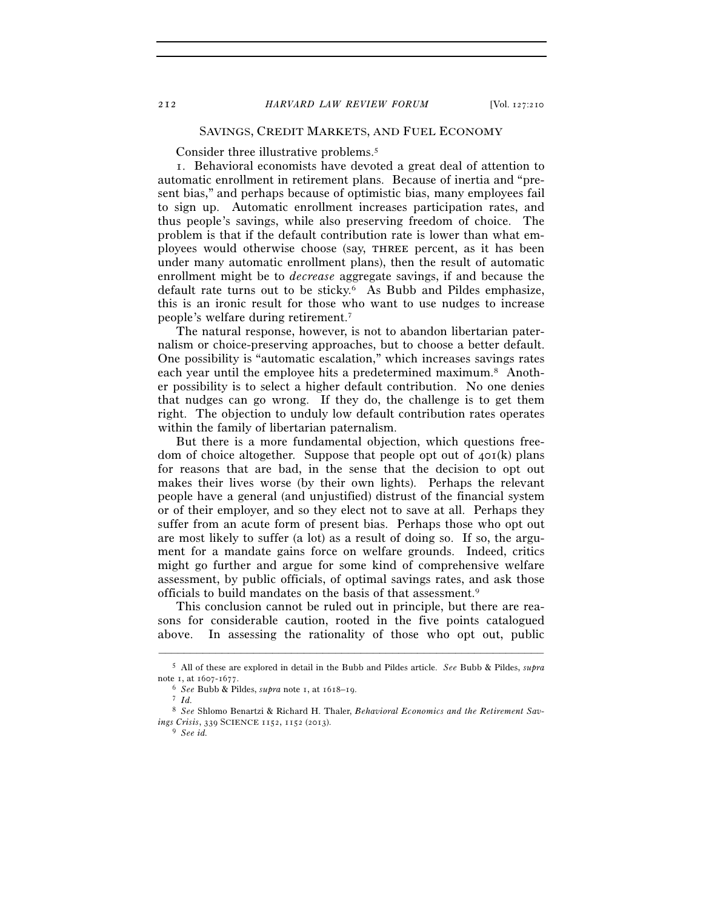### SAVINGS, CREDIT MARKETS, AND FUEL ECONOMY

Consider three illustrative problems.<sup>5</sup>

1. Behavioral economists have devoted a great deal of attention to automatic enrollment in retirement plans. Because of inertia and "present bias," and perhaps because of optimistic bias, many employees fail to sign up. Automatic enrollment increases participation rates, and thus people's savings, while also preserving freedom of choice. The problem is that if the default contribution rate is lower than what employees would otherwise choose (say, three percent, as it has been under many automatic enrollment plans), then the result of automatic enrollment might be to *decrease* aggregate savings, if and because the default rate turns out to be sticky.<sup>6</sup> As Bubb and Pildes emphasize, this is an ironic result for those who want to use nudges to increase people's welfare during retirement.7

The natural response, however, is not to abandon libertarian paternalism or choice-preserving approaches, but to choose a better default. One possibility is "automatic escalation," which increases savings rates each year until the employee hits a predetermined maximum.8 Another possibility is to select a higher default contribution. No one denies that nudges can go wrong. If they do, the challenge is to get them right. The objection to unduly low default contribution rates operates within the family of libertarian paternalism.

But there is a more fundamental objection, which questions freedom of choice altogether. Suppose that people opt out of  $40I(k)$  plans for reasons that are bad, in the sense that the decision to opt out makes their lives worse (by their own lights). Perhaps the relevant people have a general (and unjustified) distrust of the financial system or of their employer, and so they elect not to save at all. Perhaps they suffer from an acute form of present bias. Perhaps those who opt out are most likely to suffer (a lot) as a result of doing so. If so, the argument for a mandate gains force on welfare grounds. Indeed, critics might go further and argue for some kind of comprehensive welfare assessment, by public officials, of optimal savings rates, and ask those officials to build mandates on the basis of that assessment.9

This conclusion cannot be ruled out in principle, but there are reasons for considerable caution, rooted in the five points catalogued above. In assessing the rationality of those who opt out, public

<sup>–––––––––––––––––––––––––––––––––––––––––––––––––––––––––––––</sup> 5 All of these are explored in detail in the Bubb and Pildes article. *See* Bubb & Pildes, *supra* note 1, at 1607-1677. 6 *See* Bubb & Pildes, *supra* note 1, at 1618–19. 7 *Id.*

<sup>8</sup> *See* Shlomo Benartzi & Richard H. Thaler, *Behavioral Economics and the Retirement Savings Crisis*, 339 SCIENCE <sup>1152</sup>, 1152 (2013). 9 *See id.*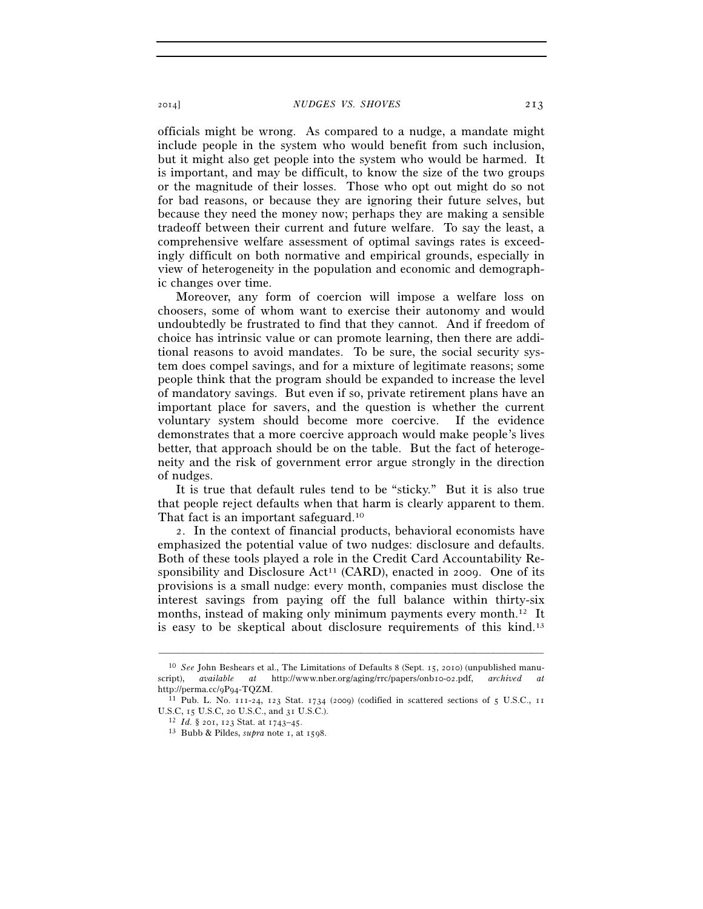2014] *NUDGES VS. SHOVES* 213

officials might be wrong. As compared to a nudge, a mandate might include people in the system who would benefit from such inclusion, but it might also get people into the system who would be harmed. It is important, and may be difficult, to know the size of the two groups or the magnitude of their losses. Those who opt out might do so not for bad reasons, or because they are ignoring their future selves, but because they need the money now; perhaps they are making a sensible tradeoff between their current and future welfare. To say the least, a comprehensive welfare assessment of optimal savings rates is exceedingly difficult on both normative and empirical grounds, especially in view of heterogeneity in the population and economic and demographic changes over time.

Moreover, any form of coercion will impose a welfare loss on choosers, some of whom want to exercise their autonomy and would undoubtedly be frustrated to find that they cannot. And if freedom of choice has intrinsic value or can promote learning, then there are additional reasons to avoid mandates. To be sure, the social security system does compel savings, and for a mixture of legitimate reasons; some people think that the program should be expanded to increase the level of mandatory savings. But even if so, private retirement plans have an important place for savers, and the question is whether the current voluntary system should become more coercive. If the evidence demonstrates that a more coercive approach would make people's lives better, that approach should be on the table. But the fact of heterogeneity and the risk of government error argue strongly in the direction of nudges.

It is true that default rules tend to be "sticky." But it is also true that people reject defaults when that harm is clearly apparent to them. That fact is an important safeguard.10

2. In the context of financial products, behavioral economists have emphasized the potential value of two nudges: disclosure and defaults. Both of these tools played a role in the Credit Card Accountability Responsibility and Disclosure  $Act^{11}$  (CARD), enacted in 2009. One of its provisions is a small nudge: every month, companies must disclose the interest savings from paying off the full balance within thirty-six months, instead of making only minimum payments every month.<sup>12</sup> It is easy to be skeptical about disclosure requirements of this kind.13

<sup>10</sup> *See* John Beshears et al., The Limitations of Defaults 8 (Sept. 15, 2010) (unpublished manuscript), *available at* http://www.nber.org/aging/rrc/papers/onb10-02.pdf, *archived at* http://perma.cc/9P94-TQZM.<br><sup>11</sup> Pub. L. No. 111-24, 123 Stat. 1734 (2009) (codified in scattered sections of 5 U.S.C., 11

U.S.C, 15 U.S.C, 20 U.S.C., and 31 U.S.C.). 12 *Id.* § 201, 123 Stat. at 1743–45. 13 Bubb & Pildes, *supra* note 1, at 1598.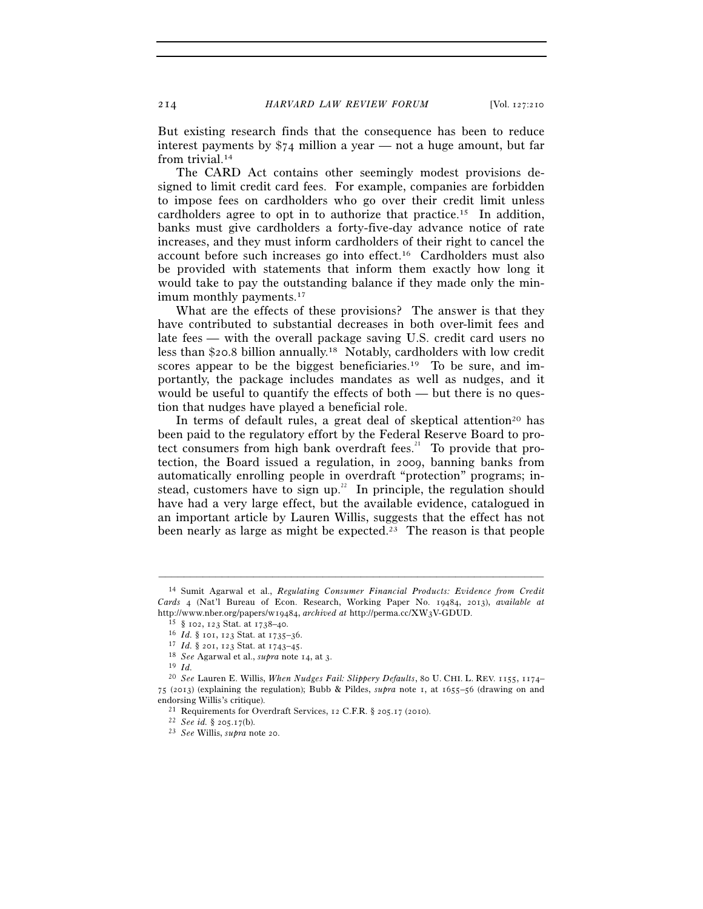But existing research finds that the consequence has been to reduce interest payments by  $\frac{1}{2}$  million a year — not a huge amount, but far from trivial.<sup>14</sup>

The CARD Act contains other seemingly modest provisions designed to limit credit card fees. For example, companies are forbidden to impose fees on cardholders who go over their credit limit unless cardholders agree to opt in to authorize that practice.15 In addition, banks must give cardholders a forty-five-day advance notice of rate increases, and they must inform cardholders of their right to cancel the account before such increases go into effect.16 Cardholders must also be provided with statements that inform them exactly how long it would take to pay the outstanding balance if they made only the minimum monthly payments.<sup>17</sup>

What are the effects of these provisions? The answer is that they have contributed to substantial decreases in both over-limit fees and late fees — with the overall package saving U.S. credit card users no less than \$20.8 billion annually.18 Notably, cardholders with low credit scores appear to be the biggest beneficiaries.<sup>19</sup> To be sure, and importantly, the package includes mandates as well as nudges, and it would be useful to quantify the effects of both — but there is no question that nudges have played a beneficial role.

In terms of default rules, a great deal of skeptical attention<sup>20</sup> has been paid to the regulatory effort by the Federal Reserve Board to protect consumers from high bank overdraft fees.<sup>21</sup> To provide that protection, the Board issued a regulation, in 2009, banning banks from automatically enrolling people in overdraft "protection" programs; instead, customers have to sign up.<sup>22</sup> In principle, the regulation should have had a very large effect, but the available evidence, catalogued in an important article by Lauren Willis, suggests that the effect has not been nearly as large as might be expected.<sup>23</sup> The reason is that people

<sup>14</sup> Sumit Agarwal et al., *Regulating Consumer Financial Products: Evidence from Credit Cards* 4 (Nat'l Bureau of Econ. Research, Working Paper No. 19484, 2013), *available at* http://www.nber.org/papers/w19484, archived at http://perma.cc/XW3V-GDUD.<br>
<sup>15</sup> § 102, 123 Stat. at 1738–40.<br>
<sup>16</sup> *Id*. § 101, 123 Stat. at 1735–36.<br>
<sup>17</sup> *Id*. § 201, 123 Stat. at 1743–45.<br>
<sup>18</sup> *See* Agarwal et al., *s* 

<sup>20</sup> *See* Lauren E. Willis, *When Nudges Fail: Slippery Defaults*, 80 U. CHI. L. REV. 1155, 1174– 75 (2013) (explaining the regulation); Bubb & Pildes, *supra* note 1, at 1655–56 (drawing on and

endorsing Willis's critique). 21 Requirements for Overdraft Services, 12 C.F.R. § 205.17 (2010). 22 *See id.* § 205.17(b). 23 *See* Willis, *supra* note 20.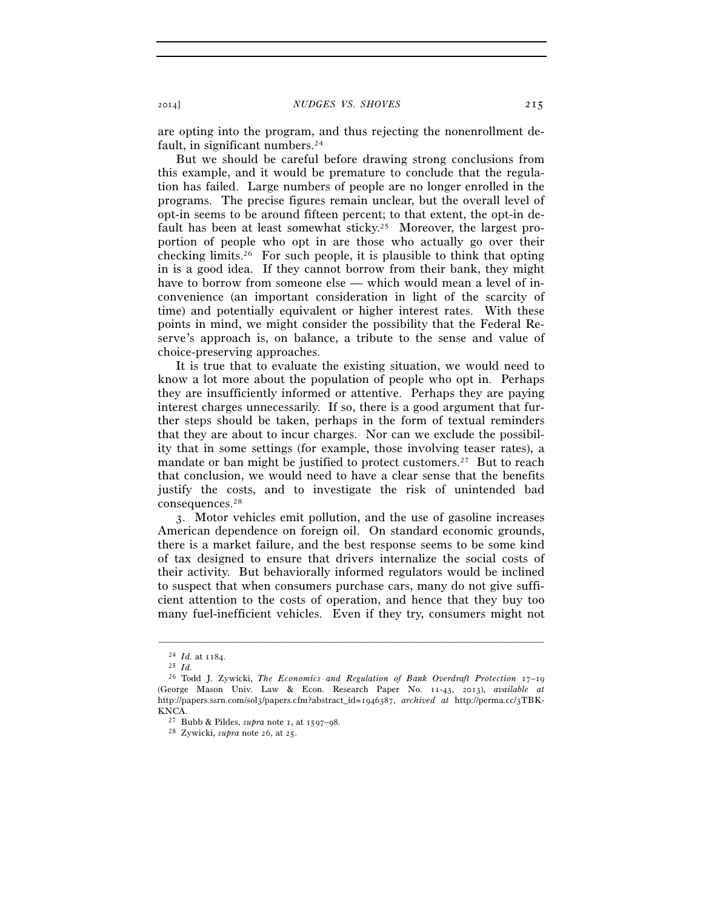are opting into the program, and thus rejecting the nonenrollment default, in significant numbers.<sup>24</sup>

But we should be careful before drawing strong conclusions from this example, and it would be premature to conclude that the regulation has failed. Large numbers of people are no longer enrolled in the programs. The precise figures remain unclear, but the overall level of opt-in seems to be around fifteen percent; to that extent, the opt-in default has been at least somewhat sticky.25 Moreover, the largest proportion of people who opt in are those who actually go over their checking limits.26 For such people, it is plausible to think that opting in is a good idea. If they cannot borrow from their bank, they might have to borrow from someone else — which would mean a level of inconvenience (an important consideration in light of the scarcity of time) and potentially equivalent or higher interest rates. With these points in mind, we might consider the possibility that the Federal Reserve's approach is, on balance, a tribute to the sense and value of choice-preserving approaches.

It is true that to evaluate the existing situation, we would need to know a lot more about the population of people who opt in. Perhaps they are insufficiently informed or attentive. Perhaps they are paying interest charges unnecessarily. If so, there is a good argument that further steps should be taken, perhaps in the form of textual reminders that they are about to incur charges. Nor can we exclude the possibility that in some settings (for example, those involving teaser rates), a mandate or ban might be justified to protect customers.<sup>27</sup> But to reach that conclusion, we would need to have a clear sense that the benefits justify the costs, and to investigate the risk of unintended bad consequences.28

3. Motor vehicles emit pollution, and the use of gasoline increases American dependence on foreign oil. On standard economic grounds, there is a market failure, and the best response seems to be some kind of tax designed to ensure that drivers internalize the social costs of their activity. But behaviorally informed regulators would be inclined to suspect that when consumers purchase cars, many do not give sufficient attention to the costs of operation, and hence that they buy too many fuel-inefficient vehicles. Even if they try, consumers might not

<sup>24</sup> *Id.* at 1184. 25 *Id.*

<sup>26</sup> Todd J. Zywicki, *The Economics and Regulation of Bank Overdraft Protection* 17–19 (George Mason Univ. Law & Econ. Research Paper No. 11-43, 2013), *available at* http://papers.ssrn.com/sol3/papers.cfm?abstract\_id=1946387, *archived at* http://perma.cc/3TBK-KNCA. 27 Bubb & Pildes, *supra* note 1, at 1597–98. 28 Zywicki, *supra* note 26, at 25.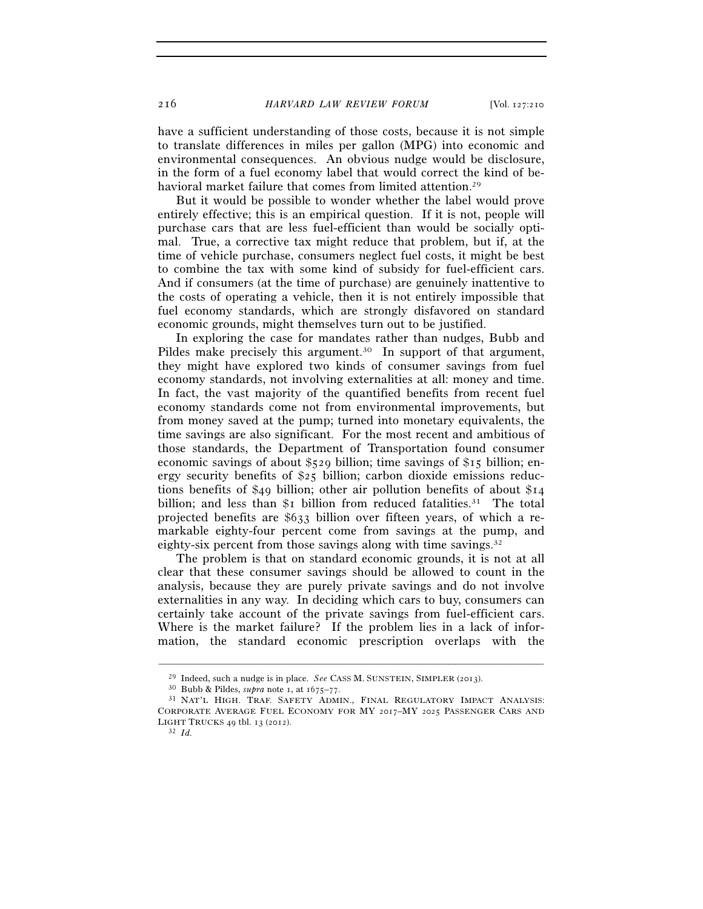216 *HARVARD LAW REVIEW FORUM* [Vol. 127:210

have a sufficient understanding of those costs, because it is not simple to translate differences in miles per gallon (MPG) into economic and environmental consequences. An obvious nudge would be disclosure, in the form of a fuel economy label that would correct the kind of behavioral market failure that comes from limited attention.<sup>29</sup>

But it would be possible to wonder whether the label would prove entirely effective; this is an empirical question. If it is not, people will purchase cars that are less fuel-efficient than would be socially optimal. True, a corrective tax might reduce that problem, but if, at the time of vehicle purchase, consumers neglect fuel costs, it might be best to combine the tax with some kind of subsidy for fuel-efficient cars. And if consumers (at the time of purchase) are genuinely inattentive to the costs of operating a vehicle, then it is not entirely impossible that fuel economy standards, which are strongly disfavored on standard economic grounds, might themselves turn out to be justified.

In exploring the case for mandates rather than nudges, Bubb and Pildes make precisely this argument.<sup>30</sup> In support of that argument, they might have explored two kinds of consumer savings from fuel economy standards, not involving externalities at all: money and time. In fact, the vast majority of the quantified benefits from recent fuel economy standards come not from environmental improvements, but from money saved at the pump; turned into monetary equivalents, the time savings are also significant. For the most recent and ambitious of those standards, the Department of Transportation found consumer economic savings of about \$529 billion; time savings of \$15 billion; energy security benefits of  $\S$ 25 billion; carbon dioxide emissions reductions benefits of \$49 billion; other air pollution benefits of about \$14 billion; and less than  $\overline{\mathcal{S}}_1$  billion from reduced fatalities.<sup>31</sup> The total projected benefits are \$633 billion over fifteen years, of which a remarkable eighty-four percent come from savings at the pump, and eighty-six percent from those savings along with time savings.<sup>32</sup>

The problem is that on standard economic grounds, it is not at all clear that these consumer savings should be allowed to count in the analysis, because they are purely private savings and do not involve externalities in any way. In deciding which cars to buy, consumers can certainly take account of the private savings from fuel-efficient cars. Where is the market failure? If the problem lies in a lack of information, the standard economic prescription overlaps with the

<sup>29</sup> Indeed, such a nudge is in place. *See* CASS M. SUNSTEIN, SIMPLER (2013). 30 Bubb & Pildes, *supra* note 1, at 1675–77. 31 NAT'L HIGH. TRAF. SAFETY ADMIN., FINAL REGULATORY IMPACT ANALYSIS:

CORPORATE AVERAGE FUEL ECONOMY FOR MY 2017–MY 2025 PASSENGER CARS AND LIGHT TRUCKS <sup>49</sup> tbl. 13 (2012). 32 *Id.*